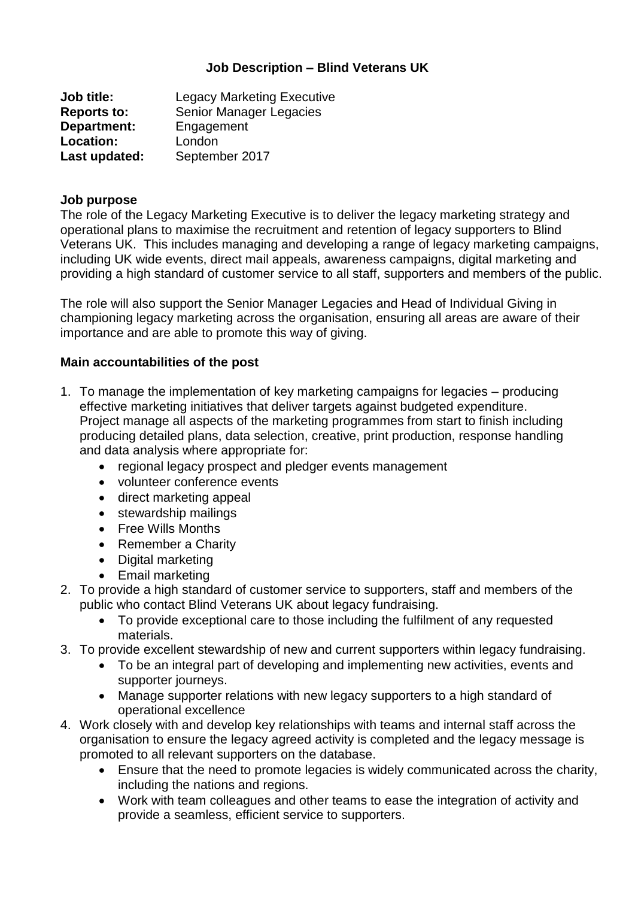## **Job Description – Blind Veterans UK**

| <b>Job title:</b>  | <b>Legacy Marketing Executive</b> |
|--------------------|-----------------------------------|
| <b>Reports to:</b> | Senior Manager Legacies           |
| Department:        | Engagement                        |
| Location:          | London                            |
| Last updated:      | September 2017                    |

#### **Job purpose**

The role of the Legacy Marketing Executive is to deliver the legacy marketing strategy and operational plans to maximise the recruitment and retention of legacy supporters to Blind Veterans UK. This includes managing and developing a range of legacy marketing campaigns, including UK wide events, direct mail appeals, awareness campaigns, digital marketing and providing a high standard of customer service to all staff, supporters and members of the public.

The role will also support the Senior Manager Legacies and Head of Individual Giving in championing legacy marketing across the organisation, ensuring all areas are aware of their importance and are able to promote this way of giving.

#### **Main accountabilities of the post**

- 1. To manage the implementation of key marketing campaigns for legacies producing effective marketing initiatives that deliver targets against budgeted expenditure. Project manage all aspects of the marketing programmes from start to finish including producing detailed plans, data selection, creative, print production, response handling and data analysis where appropriate for:
	- regional legacy prospect and pledger events management
	- volunteer conference events
	- direct marketing appeal
	- stewardship mailings
	- Free Wills Months
	- Remember a Charity
	- Digital marketing
	- Email marketing
- 2. To provide a high standard of customer service to supporters, staff and members of the public who contact Blind Veterans UK about legacy fundraising.
	- To provide exceptional care to those including the fulfilment of any requested materials.
- 3. To provide excellent stewardship of new and current supporters within legacy fundraising.
	- To be an integral part of developing and implementing new activities, events and supporter journeys.
	- Manage supporter relations with new legacy supporters to a high standard of operational excellence
- 4. Work closely with and develop key relationships with teams and internal staff across the organisation to ensure the legacy agreed activity is completed and the legacy message is promoted to all relevant supporters on the database.
	- Ensure that the need to promote legacies is widely communicated across the charity, including the nations and regions.
	- Work with team colleagues and other teams to ease the integration of activity and provide a seamless, efficient service to supporters.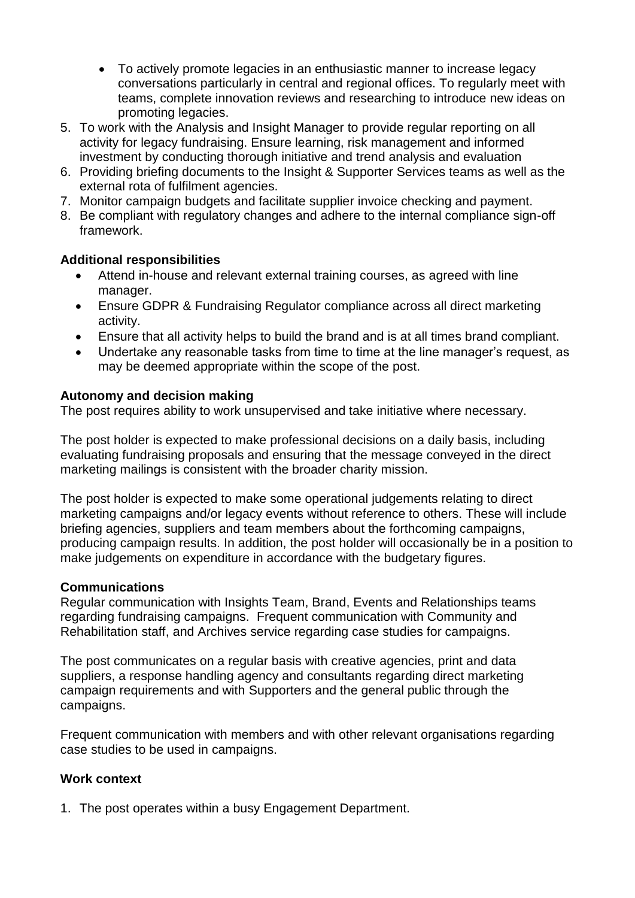- To actively promote legacies in an enthusiastic manner to increase legacy conversations particularly in central and regional offices. To regularly meet with teams, complete innovation reviews and researching to introduce new ideas on promoting legacies.
- 5. To work with the Analysis and Insight Manager to provide regular reporting on all activity for legacy fundraising. Ensure learning, risk management and informed investment by conducting thorough initiative and trend analysis and evaluation
- 6. Providing briefing documents to the Insight & Supporter Services teams as well as the external rota of fulfilment agencies.
- 7. Monitor campaign budgets and facilitate supplier invoice checking and payment.
- 8. Be compliant with regulatory changes and adhere to the internal compliance sign-off framework.

## **Additional responsibilities**

- Attend in-house and relevant external training courses, as agreed with line manager.
- Ensure GDPR & Fundraising Regulator compliance across all direct marketing activity.
- Ensure that all activity helps to build the brand and is at all times brand compliant.
- Undertake any reasonable tasks from time to time at the line manager's request, as may be deemed appropriate within the scope of the post.

## **Autonomy and decision making**

The post requires ability to work unsupervised and take initiative where necessary.

The post holder is expected to make professional decisions on a daily basis, including evaluating fundraising proposals and ensuring that the message conveyed in the direct marketing mailings is consistent with the broader charity mission.

The post holder is expected to make some operational judgements relating to direct marketing campaigns and/or legacy events without reference to others. These will include briefing agencies, suppliers and team members about the forthcoming campaigns, producing campaign results. In addition, the post holder will occasionally be in a position to make judgements on expenditure in accordance with the budgetary figures.

## **Communications**

Regular communication with Insights Team, Brand, Events and Relationships teams regarding fundraising campaigns. Frequent communication with Community and Rehabilitation staff, and Archives service regarding case studies for campaigns.

The post communicates on a regular basis with creative agencies, print and data suppliers, a response handling agency and consultants regarding direct marketing campaign requirements and with Supporters and the general public through the campaigns.

Frequent communication with members and with other relevant organisations regarding case studies to be used in campaigns.

## **Work context**

1. The post operates within a busy Engagement Department.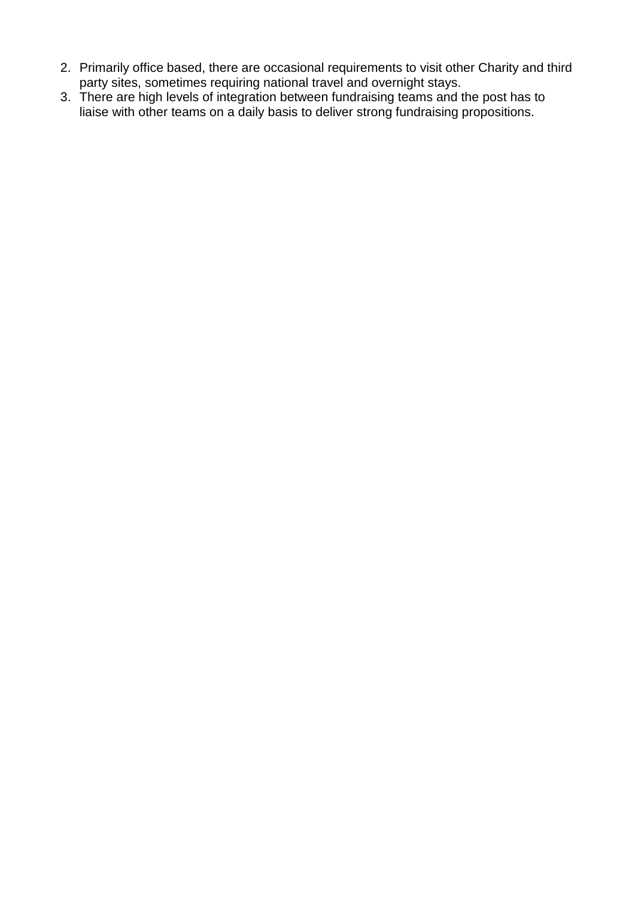- 2. Primarily office based, there are occasional requirements to visit other Charity and third party sites, sometimes requiring national travel and overnight stays.
- 3. There are high levels of integration between fundraising teams and the post has to liaise with other teams on a daily basis to deliver strong fundraising propositions.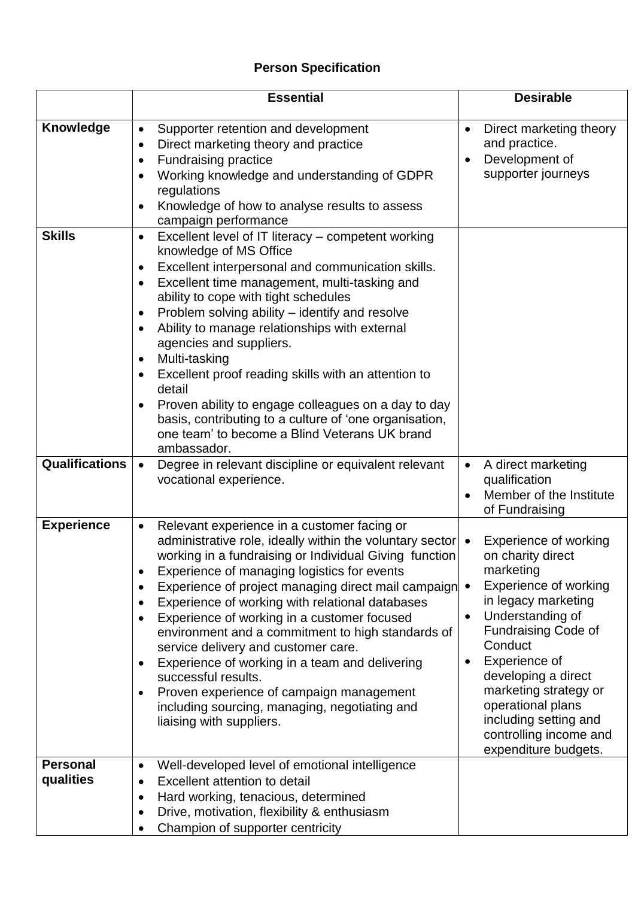# **Person Specification**

|                              | <b>Essential</b>                                                                                                                                                                                                                                                                                                                                                                                                                                                                                                                                                                                                                                                                                                                | <b>Desirable</b>                                                                                                                                                                                                                                                                                                                                         |
|------------------------------|---------------------------------------------------------------------------------------------------------------------------------------------------------------------------------------------------------------------------------------------------------------------------------------------------------------------------------------------------------------------------------------------------------------------------------------------------------------------------------------------------------------------------------------------------------------------------------------------------------------------------------------------------------------------------------------------------------------------------------|----------------------------------------------------------------------------------------------------------------------------------------------------------------------------------------------------------------------------------------------------------------------------------------------------------------------------------------------------------|
| Knowledge                    | Supporter retention and development<br>$\bullet$<br>Direct marketing theory and practice<br>$\bullet$<br><b>Fundraising practice</b><br>$\bullet$<br>Working knowledge and understanding of GDPR<br>$\bullet$<br>regulations<br>Knowledge of how to analyse results to assess<br>$\bullet$<br>campaign performance                                                                                                                                                                                                                                                                                                                                                                                                              | Direct marketing theory<br>$\bullet$<br>and practice.<br>Development of<br>$\bullet$<br>supporter journeys                                                                                                                                                                                                                                               |
| <b>Skills</b>                | Excellent level of IT literacy – competent working<br>$\bullet$<br>knowledge of MS Office<br>Excellent interpersonal and communication skills.<br>$\bullet$<br>Excellent time management, multi-tasking and<br>$\bullet$<br>ability to cope with tight schedules<br>Problem solving ability – identify and resolve<br>$\bullet$<br>Ability to manage relationships with external<br>agencies and suppliers.<br>Multi-tasking<br>$\bullet$<br>Excellent proof reading skills with an attention to<br>$\bullet$<br>detail<br>Proven ability to engage colleagues on a day to day<br>$\bullet$<br>basis, contributing to a culture of 'one organisation,<br>one team' to become a Blind Veterans UK brand<br>ambassador.           |                                                                                                                                                                                                                                                                                                                                                          |
| <b>Qualifications</b>        | Degree in relevant discipline or equivalent relevant<br>$\bullet$<br>vocational experience.                                                                                                                                                                                                                                                                                                                                                                                                                                                                                                                                                                                                                                     | A direct marketing<br>$\bullet$<br>qualification<br>Member of the Institute<br>$\bullet$<br>of Fundraising                                                                                                                                                                                                                                               |
| <b>Experience</b>            | Relevant experience in a customer facing or<br>$\bullet$<br>administrative role, ideally within the voluntary sector $\bullet$<br>working in a fundraising or Individual Giving function<br>Experience of managing logistics for events<br>Experience of project managing direct mail campaign •<br>Experience of working with relational databases<br>٠<br>Experience of working in a customer focused<br>environment and a commitment to high standards of<br>service delivery and customer care.<br>Experience of working in a team and delivering<br>$\bullet$<br>successful results.<br>Proven experience of campaign management<br>$\bullet$<br>including sourcing, managing, negotiating and<br>liaising with suppliers. | Experience of working<br>on charity direct<br>marketing<br>Experience of working<br>in legacy marketing<br>Understanding of<br>$\bullet$<br>Fundraising Code of<br>Conduct<br>Experience of<br>$\bullet$<br>developing a direct<br>marketing strategy or<br>operational plans<br>including setting and<br>controlling income and<br>expenditure budgets. |
| <b>Personal</b><br>qualities | Well-developed level of emotional intelligence<br>$\bullet$<br>Excellent attention to detail<br>$\bullet$<br>Hard working, tenacious, determined<br>٠<br>Drive, motivation, flexibility & enthusiasm<br>$\bullet$<br>Champion of supporter centricity<br>$\bullet$                                                                                                                                                                                                                                                                                                                                                                                                                                                              |                                                                                                                                                                                                                                                                                                                                                          |